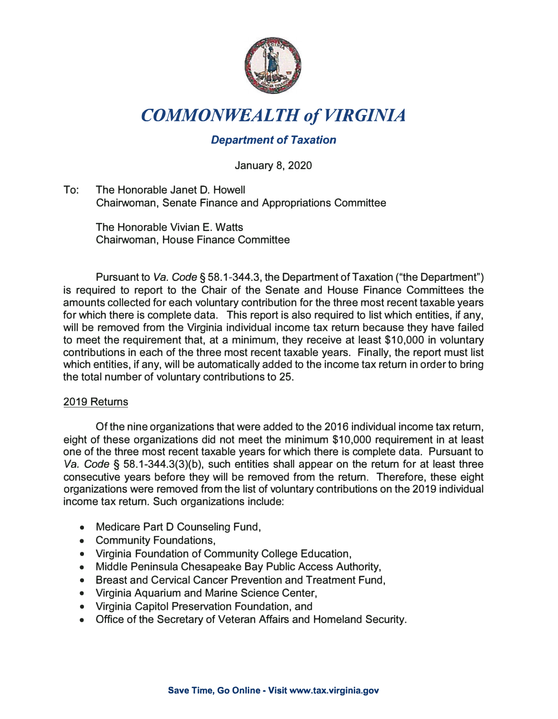

# *COMMONWEALTH of VIRGINIA*

## *Department of Taxation*

January 8, 2020

To: The Honorable Janet D. Howell Chairwoman, Senate Finance and Appropriations Committee

The Honorable Vivian E. Watts Chairwoman, House Finance Committee

Pursuant to *Va. Code§* 58.1-344.3, the Department of Taxation ("the Department") is required to report to the Chair of the Senate and House Finance Committees the amounts collected for each voluntary contribution for the three most recent taxable years for which there is complete data. This report is also required to list which entities, if any, will be removed from the Virginia individual income tax return because they have failed to meet the requirement that, at a minimum, they receive at least \$10,000 in voluntary contributions in each of the three most recent taxable years. Finally, the report must list which entities, if any, will be automatically added to the income tax return in order to bring the total number of voluntary contributions to 25.

#### 2019 Returns

Of the nine organizations that were added to the 2016 individual income tax return, eight of these organizations did not meet the minimum \$10,000 requirement in at least one of the three most recent taxable years for which there is complete data. Pursuant to Va. Code § 58.1-344.3(3)(b), such entities shall appear on the return for at least three consecutive years before they will be removed from the return. Therefore, these eight organizations were removed from the list of voluntary contributions on the 2019 individual income tax return. Such organizations include:

- Medicare Part D Counseling Fund,
- Community Foundations,
- Virginia Foundation of Community College Education,
- Middle Peninsula Chesapeake Bay Public Access Authority,
- Breast and Cervical Cancer Prevention and Treatment Fund,
- Virginia Aquarium and Marine Science Center,
- Virginia Capitol Preservation Foundation, and
- Office of the Secretary of Veteran Affairs and Homeland Security.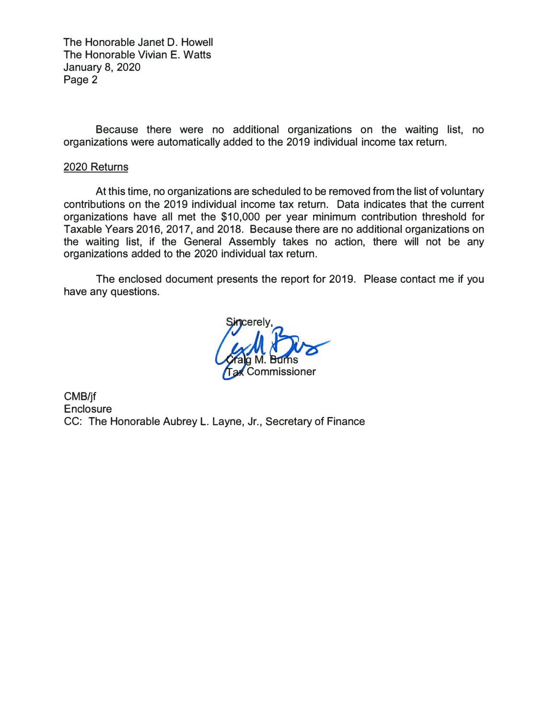The Honorable Janet D. Howell The Honorable Vivian E. Watts January 8, 2020 Page 2

Because there were no additional organizations on the waiting list, no organizations were automatically added to the 2019 individual income tax return.

#### 2020 Returns

At this time, no organizations are scheduled to be removed from the list of voluntary contributions on the 2019 individual income tax return. Data indicates that the current organizations have all met the \$10,000 per year minimum contribution threshold for Taxable Years 2016, 2017, and 2018. Because there are no additional organizations on the waiting list, if the General Assembly takes no action, there will not be any organizations added to the 2020 individual tax return.

The enclosed document presents the report for 2019. Please contact me if you have any questions.

ommissioner

CMB/jf **Enclosure** CC: The Honorable Aubrey L. Layne, Jr., Secretary of Finance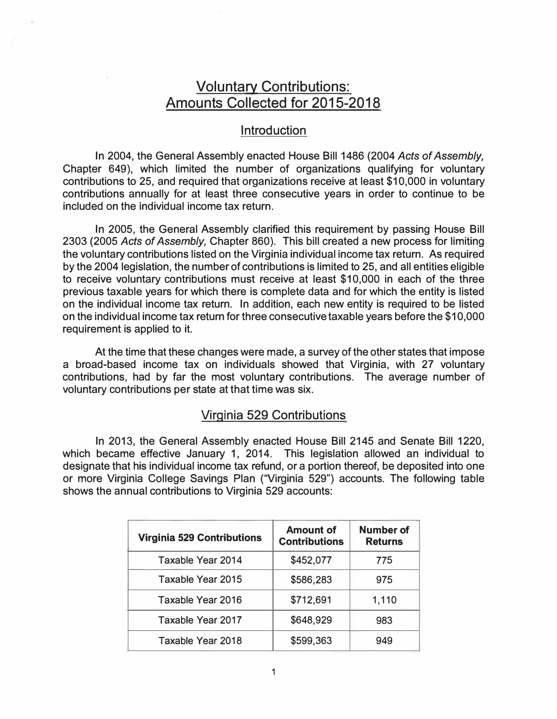# Voluntary Contributions: Amounts Collected for 2015-2018

#### **Introduction**

In 2004, the General Assembly enacted House Bill 1486 (2004 *Acts of Assembly,*  Chapter 649), which limited the number of organizations qualifying for voluntary contributions to 25, and required that organizations receive at least \$10,000 in voluntary contributions annually for at least three consecutive years in order to continue to be included on the individual income tax return.

In 2005, the General Assembly clarified this requirement by passing House Bill 2303 (2005 *Acts of Assembly,* Chapter 860). This bill created a new process for limiting the voluntary contributions listed on the Virginia individual income tax return. As required by the 2004 legislation, the number of contributions is limited to 25, and all entities eligible to receive voluntary contributions must receive at least \$10,000 in each of the three previous taxable years for which there is complete data and for which the entity is listed on the individual income tax return. In addition, each new entity is required to be listed on the individual income tax return for three consecutive taxable years before the \$10,000 requirement is applied to it.

At the time that these changes were made, a survey of the other states that impose a broad-based income tax on individuals showed that Virginia, with 27 voluntary contributions, had by far the most voluntary contributions. The average number of voluntary contributions per state at that time was six.

#### Virginia 529 Contributions

In 2013, the General Assembly enacted House Bill 2145 and Senate Bill 1220, which became effective January 1, 2014. This legislation allowed an individual to designate that his individual income tax refund, or a portion thereof, be deposited into one or more Virginia College Savings Plan ("Virginia 529") accounts. The following table shows the annual contributions to Virginia 529 accounts:

| <b>Virginia 529 Contributions</b> | <b>Amount of</b><br><b>Contributions</b> | <b>Number of</b><br><b>Returns</b> |
|-----------------------------------|------------------------------------------|------------------------------------|
| Taxable Year 2014                 | \$452,077                                | 775                                |
| <b>Taxable Year 2015</b>          | \$586,283                                | 975                                |
| Taxable Year 2016                 | \$712,691                                | 1,110                              |
| Taxable Year 2017                 | \$648,929                                | 983                                |
| Taxable Year 2018                 | \$599,363                                | 949                                |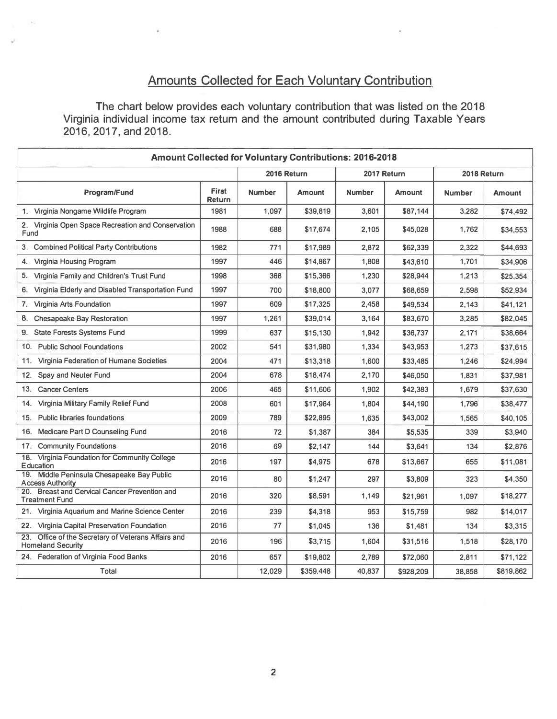# **Amounts Collected for Each Voluntary Contribution**

**The chart below provides each voluntary contribution that was listed on the 2018 Virginia individual income tax return and the amount contributed during Taxable Years 2016, 2017, and 2018.** 

| <b>Amount Collected for Voluntary Contributions: 2016-2018</b>                     |                        |               |               |               |               |               |               |
|------------------------------------------------------------------------------------|------------------------|---------------|---------------|---------------|---------------|---------------|---------------|
|                                                                                    |                        | 2016 Return   |               | 2017 Return   |               | 2018 Return   |               |
| Program/Fund                                                                       | <b>First</b><br>Return | <b>Number</b> | <b>Amount</b> | <b>Number</b> | <b>Amount</b> | <b>Number</b> | <b>Amount</b> |
| 1. Virginia Nongame Wildlife Program                                               | 1981                   | 1,097         | \$39,819      | 3,601         | \$87,144      | 3,282         | \$74,492      |
| 2. Virginia Open Space Recreation and Conservation<br>Fund                         | 1988                   | 688           | \$17,674      | 2.105         | \$45,028      | 1,762         | \$34,553      |
| 3. Combined Political Party Contributions                                          | 1982                   | 771           | \$17,989      | 2.872         | \$62,339      | 2,322         | \$44,693      |
| Virginia Housing Program<br>4.                                                     | 1997                   | 446           | \$14,867      | 1,808         | \$43,610      | 1,701         | \$34,906      |
| 5. Virginia Family and Children's Trust Fund                                       | 1998                   | 368           | \$15,366      | 1,230         | \$28,944      | 1,213         | \$25,354      |
| Virginia Elderly and Disabled Transportation Fund<br>6.                            | 1997                   | 700           | \$18,800      | 3,077         | \$68,659      | 2,598         | \$52,934      |
| Virginia Arts Foundation<br>7.                                                     | 1997                   | 609           | \$17,325      | 2,458         | \$49,534      | 2,143         | \$41,121      |
| 8.<br><b>Chesapeake Bay Restoration</b>                                            | 1997                   | 1,261         | \$39,014      | 3,164         | \$83,670      | 3,285         | \$82,045      |
| 9. State Forests Systems Fund                                                      | 1999                   | 637           | \$15,130      | 1,942         | \$36,737      | 2,171         | \$38,664      |
| 10. Public School Foundations                                                      | 2002                   | 541           | \$31,980      | 1,334         | \$43,953      | 1,273         | \$37,615      |
| 11. Virginia Federation of Humane Societies                                        | 2004                   | 471           | \$13,318      | 1,600         | \$33,485      | 1,246         | \$24,994      |
| Spay and Neuter Fund<br>12.                                                        | 2004                   | 678           | \$18,474      | 2,170         | \$46,050      | 1,831         | \$37,981      |
| <b>Cancer Centers</b><br>13.                                                       | 2006                   | 465           | \$11,606      | 1,902         | \$42,383      | 1,679         | \$37,630      |
| Virginia Military Family Relief Fund<br>14.                                        | 2008                   | 601           | \$17,964      | 1,804         | \$44,190      | 1,796         | \$38,477      |
| <b>Public libraries foundations</b><br>15.                                         | 2009                   | 789           | \$22,895      | 1,635         | \$43,002      | 1,565         | \$40,105      |
| Medicare Part D Counseling Fund<br>16.                                             | 2016                   | 72            | \$1,387       | 384           | \$5,535       | 339           | \$3,940       |
| 17. Community Foundations                                                          | 2016                   | 69            | \$2,147       | 144           | \$3.641       | 134           | \$2,876       |
| 18.<br>Virginia Foundation for Community College<br>Education                      | 2016                   | 197           | \$4,975       | 678           | \$13,667      | 655           | \$11,081      |
| 19. Middle Peninsula Chesapeake Bay Public<br><b>Access Authority</b>              | 2016                   | 80            | \$1,247       | 297           | \$3,809       | 323           | \$4,350       |
| 20. Breast and Cervical Cancer Prevention and<br><b>Treatment Fund</b>             | 2016                   | 320           | \$8,591       | 1,149         | \$21,961      | 1,097         | \$18,277      |
| 21. Virginia Aquarium and Marine Science Center                                    | 2016                   | 239           | \$4,318       | 953           | \$15,759      | 982           | \$14,017      |
| 22. Virginia Capital Preservation Foundation                                       | 2016                   | 77            | \$1,045       | 136           | \$1,481       | 134           | \$3,315       |
| Office of the Secretary of Veterans Affairs and<br>23.<br><b>Homeland Security</b> | 2016                   | 196           | \$3,715       | 1,604         | \$31,516      | 1,518         | \$28,170      |
| 24. Federation of Virginia Food Banks                                              | 2016                   | 657           | \$19,802      | 2.789         | \$72,060      | 2.811         | \$71,122      |
| <b>Total</b>                                                                       |                        | 12,029        | \$359,448     | 40,837        | \$928,209     | 38,858        | \$819,862     |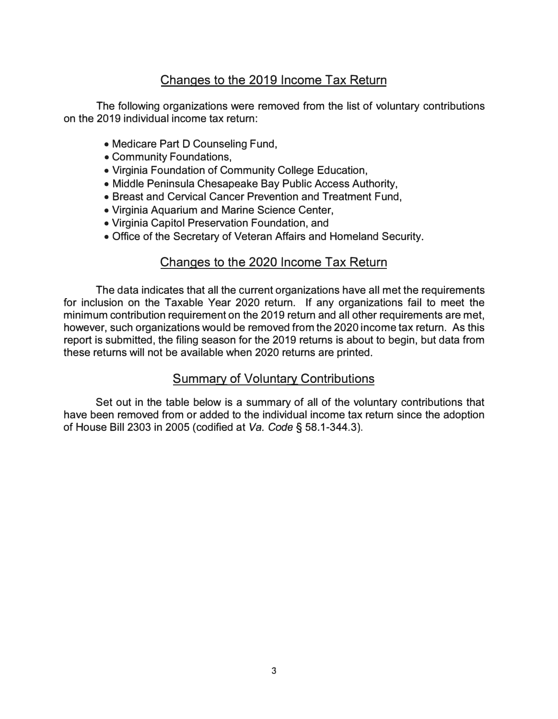# Changes to the 2019 Income Tax Return

The following organizations were removed from the list of voluntary contributions on the 2019 individual income tax return:

- Medicare Part D Counseling Fund,
- Community Foundations,
- Virginia Foundation of Community College Education,
- Middle Peninsula Chesapeake Bay Public Access Authority,
- Breast and Cervical Cancer Prevention and Treatment Fund,
- Virginia Aquarium and Marine Science Center,
- Virginia Capitol Preservation Foundation, and
- Office of the Secretary of Veteran Affairs and Homeland Security.

### Changes to the 2020 Income Tax Return

The data indicates that all the current organizations have all met the requirements for inclusion on the Taxable Year 2020 return. If any organizations fail to meet the minimum contribution requirement on the 2019 return and all other requirements are met, however, such organizations would be removed from the 2020 income tax return. As this report is submitted, the filing season for the 2019 returns is about to begin, but data from these returns will not be available when 2020 returns are printed.

### Summary of Voluntary Contributions

Set out in the table below is a summary of all of the voluntary contributions that have been removed from or added to the individual income tax return since the adoption of House Bill 2303 in 2005 (codified at *Va. Code§* 58.1-344.3).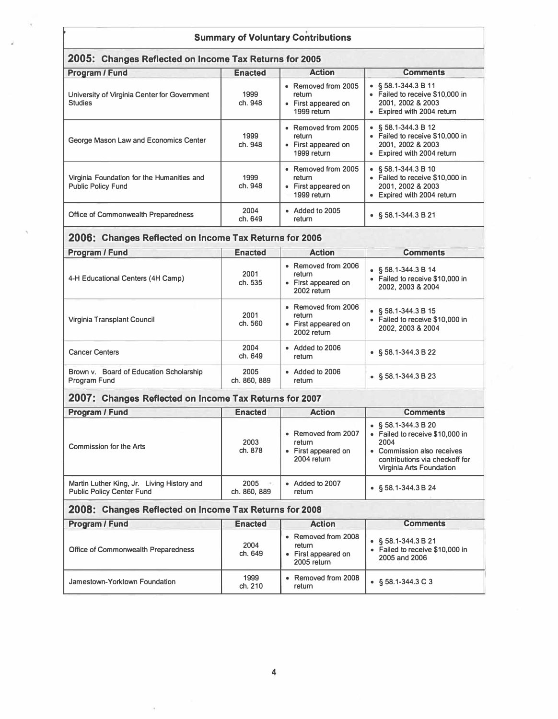#### **Summary of Voluntary Contributions**

### **2005: Changes Reflected on Income Tax Returns for 2005**

| Program / Fund                                                          | <b>Enacted</b>  | <b>Action</b>                                                       | <b>Comments</b>                                                                                                   |  |
|-------------------------------------------------------------------------|-----------------|---------------------------------------------------------------------|-------------------------------------------------------------------------------------------------------------------|--|
| University of Virginia Center for Government<br><b>Studies</b>          | 1999<br>ch. 948 | • Removed from 2005<br>return<br>• First appeared on<br>1999 return | $\bullet$ § 58.1-344.3 B 11<br>• Failed to receive \$10,000 in<br>2001. 2002 & 2003<br>• Expired with 2004 return |  |
| George Mason Law and Economics Center                                   | 1999<br>ch. 948 | • Removed from 2005<br>return<br>• First appeared on<br>1999 return | • $$58.1-344.3 B12$<br>• Failed to receive \$10,000 in<br>2001, 2002 & 2003<br>• Expired with 2004 return         |  |
| Virginia Foundation for the Humanities and<br><b>Public Policy Fund</b> | 1999<br>ch. 948 | • Removed from 2005<br>return<br>• First appeared on<br>1999 return | • $$58.1-344.3 B10$<br>• Failed to receive \$10,000 in<br>2001. 2002 & 2003<br>• Expired with 2004 return         |  |
| Office of Commonwealth Preparedness                                     | 2004<br>ch. 649 | • Added to 2005<br>return                                           | $\bullet$ § 58.1-344.3 B 21                                                                                       |  |

# **2006: Changes Reflected on Income Tax Returns for 2006**

| Program / Fund                                          | <b>Enacted</b>       | <b>Action</b>                                                       | <b>Comments</b>                                                                        |
|---------------------------------------------------------|----------------------|---------------------------------------------------------------------|----------------------------------------------------------------------------------------|
|                                                         |                      |                                                                     |                                                                                        |
| 4-H Educational Centers (4H Camp)                       | 2001<br>ch. 535      | • Removed from 2006<br>return<br>• First appeared on<br>2002 return | § 58.1-344.3 B 14<br>$\bullet$<br>• Failed to receive \$10,000 in<br>2002. 2003 & 2004 |
| Virginia Transplant Council                             | 2001<br>ch. 560      | • Removed from 2006<br>return<br>• First appeared on<br>2002 return | § 58.1-344.3 B 15<br>$\bullet$<br>• Failed to receive \$10,000 in<br>2002. 2003 & 2004 |
| <b>Cancer Centers</b>                                   | 2004<br>ch. 649      | $\bullet$ Added to 2006<br>return                                   | $\bullet$ § 58.1-344.3 B 22                                                            |
| Brown v. Board of Education Scholarship<br>Program Fund | 2005<br>ch. 860, 889 | • Added to 2006<br>return                                           | $\bullet$ § 58.1-344.3 B 23                                                            |

#### **2007: Changes Reflected on Income Tax Returns for 2007**

| Program / Fund                                                                 | <b>Enacted</b>       | <b>Action</b>                                                       | <b>Comments</b>                                                                                                                                                               |
|--------------------------------------------------------------------------------|----------------------|---------------------------------------------------------------------|-------------------------------------------------------------------------------------------------------------------------------------------------------------------------------|
| Commission for the Arts                                                        | 2003<br>ch. 878      | • Removed from 2007<br>return<br>• First appeared on<br>2004 return | $\bullet$ § 58.1-344.3 B 20<br>• Failed to receive \$10,000 in<br>2004<br>Commission also receives<br>$\bullet$<br>contributions via checkoff for<br>Virginia Arts Foundation |
| Martin Luther King, Jr. Living History and<br><b>Public Policy Center Fund</b> | 2005<br>ch. 860, 889 | • Added to 2007<br>return                                           | $\bullet$ § 58.1-344.3 B 24                                                                                                                                                   |

### **2008: Changes Reflected on Income Tax Returns for 2008**

| Program / Fund                      | <b>Enacted</b>  | <b>Action</b>                                                       | <b>Comments</b>                                                         |  |  |
|-------------------------------------|-----------------|---------------------------------------------------------------------|-------------------------------------------------------------------------|--|--|
| Office of Commonwealth Preparedness | 2004<br>ch. 649 | • Removed from 2008<br>return<br>• First appeared on<br>2005 return | • $$58.1 - 344.3 B21$<br>Failed to receive \$10,000 in<br>2005 and 2006 |  |  |
| Jamestown-Yorktown Foundation       | 1999<br>ch. 210 | • Removed from 2008<br>return                                       | $\bullet$ § 58.1-344.3 C 3                                              |  |  |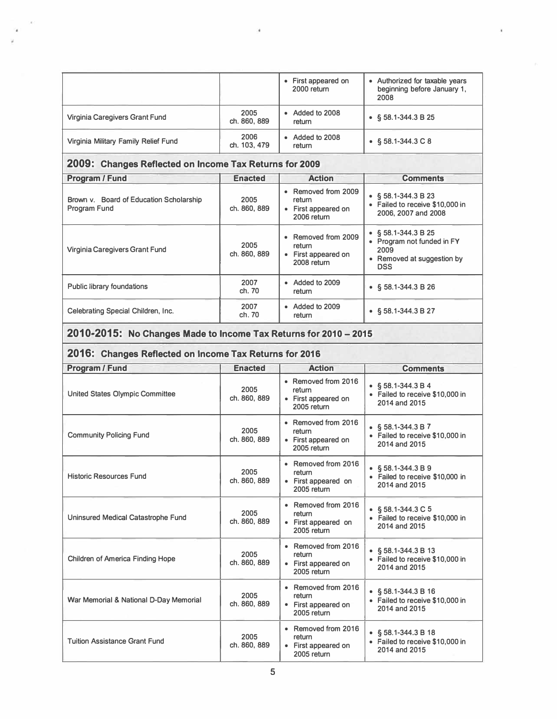|                                      |                      | • First appeared on<br>2000 return | • Authorized for taxable years<br>beginning before January 1,<br>2008 |
|--------------------------------------|----------------------|------------------------------------|-----------------------------------------------------------------------|
| Virginia Caregivers Grant Fund       | 2005<br>ch. 860, 889 | • Added to 2008<br>return          | $\bullet$ § 58.1-344.3 B 25                                           |
| Virginia Military Family Relief Fund | 2006<br>ch. 103, 479 | • Added to 2008<br>return          | $\bullet$ § 58.1-344.3 C 8                                            |

ä

### **2009: Changes Reflected on Income Tax Returns for 2009**

| Program / Fund                                          | <b>Enacted</b>       | <b>Action</b>                                                       | <b>Comments</b>                                                                                               |
|---------------------------------------------------------|----------------------|---------------------------------------------------------------------|---------------------------------------------------------------------------------------------------------------|
| Brown v. Board of Education Scholarship<br>Program Fund | 2005<br>ch. 860, 889 | • Removed from 2009<br>return<br>• First appeared on<br>2006 return | $\bullet$ § 58.1-344.3 B 23<br>• Failed to receive \$10,000 in<br>2006, 2007 and 2008                         |
| Virginia Caregivers Grant Fund                          | 2005<br>ch. 860, 889 | • Removed from 2009<br>return<br>• First appeared on<br>2008 return | $\bullet$ § 58.1-344.3 B 25<br>• Program not funded in FY<br>2009<br>• Removed at suggestion by<br><b>DSS</b> |
| Public library foundations                              | 2007<br>ch. 70       | • Added to 2009<br>return                                           | $\bullet$ § 58.1-344.3 B 26                                                                                   |
| Celebrating Special Children, Inc.                      | 2007<br>ch. 70       | • Added to 2009<br>return                                           | $\bullet$ § 58.1-344.3 B 27                                                                                   |

#### **2010-2015: No Changes Made to Income Tax Returns for 2010 -2015**

#### **2016: Changes Reflected on Income Tax Returns for 2016**

| Program / Fund                          | <b>Enacted</b>       | <b>Action</b>                                                       | <b>Comments</b>                                                                    |
|-----------------------------------------|----------------------|---------------------------------------------------------------------|------------------------------------------------------------------------------------|
| United States Olympic Committee         | 2005<br>ch. 860, 889 | • Removed from 2016<br>return<br>• First appeared on<br>2005 return | $\bullet$ § 58.1-344.3 B 4<br>• Failed to receive \$10,000 in<br>2014 and 2015     |
| <b>Community Policing Fund</b>          | 2005<br>ch. 860, 889 | • Removed from 2016<br>return<br>• First appeared on<br>2005 return | $\bullet$ § 58.1-344.3 B 7<br>• Failed to receive \$10,000 in<br>2014 and 2015     |
| <b>Historic Resources Fund</b>          | 2005<br>ch. 860, 889 | • Removed from 2016<br>return<br>• First appeared on<br>2005 return | $\bullet$ § 58.1-344.3 B 9<br>• Failed to receive \$10,000 in<br>2014 and 2015     |
| Uninsured Medical Catastrophe Fund      | 2005<br>ch. 860, 889 | • Removed from 2016<br>return<br>• First appeared on<br>2005 return | • $\frac{6}{9}$ 58.1-344.3 C 5<br>• Failed to receive \$10,000 in<br>2014 and 2015 |
| <b>Children of America Finding Hope</b> | 2005<br>ch. 860, 889 | • Removed from 2016<br>return<br>• First appeared on<br>2005 return | $\bullet$ § 58.1-344.3 B 13<br>• Failed to receive \$10,000 in<br>2014 and 2015    |
| War Memorial & National D-Day Memorial  | 2005<br>ch. 860, 889 | • Removed from 2016<br>return<br>• First appeared on<br>2005 return | $\bullet$ § 58.1-344.3 B 16<br>• Failed to receive \$10,000 in<br>2014 and 2015    |
| <b>Tuition Assistance Grant Fund</b>    | 2005<br>ch. 860, 889 | • Removed from 2016<br>return<br>• First appeared on<br>2005 return | $\bullet$ § 58.1-344.3 B 18<br>• Failed to receive \$10,000 in<br>2014 and 2015    |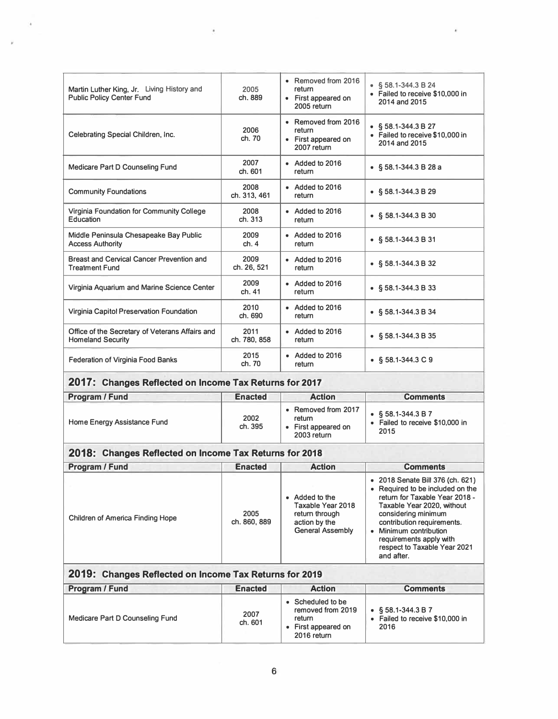| Martin Luther King, Jr. Living History and<br><b>Public Policy Center Fund</b> | 2005<br>ch. 889      | • Removed from 2016<br>return<br>• First appeared on<br>2005 return | $\bullet$ § 58.1-344.3 B 24<br>• Failed to receive \$10,000 in<br>2014 and 2015 |
|--------------------------------------------------------------------------------|----------------------|---------------------------------------------------------------------|---------------------------------------------------------------------------------|
| Celebrating Special Children, Inc.                                             | 2006<br>ch. 70       | • Removed from 2016<br>return<br>• First appeared on<br>2007 return | $\bullet$ § 58.1-344.3 B 27<br>• Failed to receive \$10,000 in<br>2014 and 2015 |
| Medicare Part D Counseling Fund                                                | 2007<br>ch. 601      | $\bullet$ Added to 2016<br>return                                   | • $$58.1-344.3 B 28 a$                                                          |
| <b>Community Foundations</b>                                                   | 2008<br>ch. 313, 461 | $\bullet$ Added to 2016<br>return                                   | $\bullet$ § 58.1-344.3 B 29                                                     |
| Virginia Foundation for Community College<br>Education                         | 2008<br>ch. 313      | $\bullet$ Added to 2016<br>return                                   | $\bullet$ § 58.1-344.3 B 30                                                     |
| Middle Peninsula Chesapeake Bay Public<br><b>Access Authority</b>              | 2009<br>ch.4         | $\bullet$ Added to 2016<br>return                                   | $\bullet$ § 58.1-344.3 B 31                                                     |
| Breast and Cervical Cancer Prevention and<br><b>Treatment Fund</b>             | 2009<br>ch. 26, 521  | $\bullet$ Added to 2016<br>return                                   | $\bullet$ § 58.1-344.3 B 32                                                     |
| Virginia Aquarium and Marine Science Center                                    | 2009<br>ch. 41       | • Added to 2016<br>return                                           | $\bullet$ § 58.1-344.3 B 33                                                     |
| Virginia Capitol Preservation Foundation                                       | 2010<br>ch. 690      | • Added to 2016<br>return                                           | $\bullet$ § 58.1-344.3 B 34                                                     |
| Office of the Secretary of Veterans Affairs and<br><b>Homeland Security</b>    | 2011<br>ch. 780, 858 | $\bullet$ Added to 2016<br>return                                   | • $$58.1 - 344.3 \text{ B } 35$                                                 |
| <b>Federation of Virginia Food Banks</b>                                       | 2015<br>ch. 70       | $\bullet$ Added to 2016<br>return                                   | $\bullet$ § 58.1-344.3 C 9                                                      |

ä

# **2017: Changes Reflected on Income Tax Returns for 2017**

 $\epsilon$ 

Ŷ.

| Program / Fund              | <b>Enacted</b>  | <b>Action</b>                                                       | <b>Comments</b>                                                     |
|-----------------------------|-----------------|---------------------------------------------------------------------|---------------------------------------------------------------------|
| Home Energy Assistance Fund | 2002<br>ch. 395 | • Removed from 2017<br>return<br>• First appeared on<br>2003 return | $\bullet$ § 58.1-344.3 B 7<br>Failed to receive \$10,000 in<br>2015 |

### **2018: Changes Reflected on Income Tax Returns for 2018**

| Program / Fund                   | <b>Enacted</b>       | <b>Action</b>                                                                                     | <b>Comments</b>                                                                                                                                                                                                                                                                            |
|----------------------------------|----------------------|---------------------------------------------------------------------------------------------------|--------------------------------------------------------------------------------------------------------------------------------------------------------------------------------------------------------------------------------------------------------------------------------------------|
| Children of America Finding Hope | 2005<br>ch. 860, 889 | • Added to the<br>Taxable Year 2018<br>return through<br>action by the<br><b>General Assembly</b> | • 2018 Senate Bill 376 (ch. 621)<br>• Required to be included on the<br>return for Taxable Year 2018 -<br>Taxable Year 2020, without<br>considering minimum<br>contribution requirements.<br>Minimum contribution<br>requirements apply with<br>respect to Taxable Year 2021<br>and after. |

| 2019: Changes Reflected on Income Tax Returns for 2019 |                 |                                                                                        |                                                               |  |
|--------------------------------------------------------|-----------------|----------------------------------------------------------------------------------------|---------------------------------------------------------------|--|
| Program / Fund                                         | <b>Enacted</b>  | <b>Action</b>                                                                          | <b>Comments</b>                                               |  |
| Medicare Part D Counseling Fund                        | 2007<br>ch. 601 | • Scheduled to be<br>removed from 2019<br>return<br>• First appeared on<br>2016 return | • $$58.1 - 344.3 B7$<br>Failed to receive \$10,000 in<br>2016 |  |